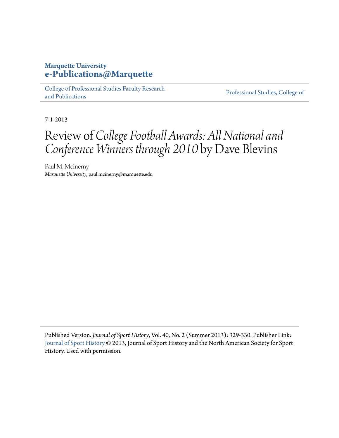## **Marquette University [e-Publications@Marquette](http://epublications.marquette.edu)**

[College of Professional Studies Faculty Research](http://epublications.marquette.edu/cps_fac) [and Publications](http://epublications.marquette.edu/cps_fac)

[Professional Studies, College of](http://epublications.marquette.edu/professional)

7-1-2013

## Review of *College Football Awards: All National and Conference Winners through 2010* by Dave Blevins

Paul M. McInerny *Marquette University*, paul.mcinerny@marquette.edu

Published Version. *Journal of Sport History*, Vol. 40, No. 2 (Summer 2013): 329-330. Publisher Link: [Journal of Sport History](http://www.journalofsporthistory.org/) © 2013, Journal of Sport History and the North American Society for Sport History. Used with permission.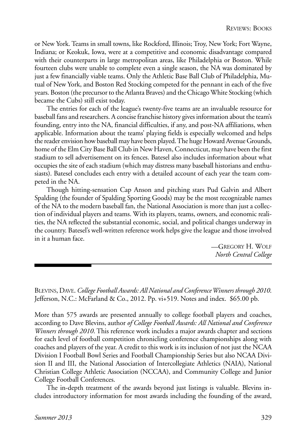BLEVINS, DAVE. *College Football Awards: All National and Conference Winners through 2010*. Jefferson, N.C.: McFarland & Co., 2012. Pp. vi+519. Notes and index. \$65.00 pb.

More than 575 awards are presented annually to college football players and coaches, according to Dave Blevins, author *of College Football Awards: All National and Conference Winners through 2010*. This reference work includes a major awards chapter and sections for each level of football competition chronicling conference championships along with coaches and players of the year. A credit to this work is its inclusion of not just the NCAA Division I Football Bowl Series and Football Championship Series but also NCAA Division II and III, the National Association of Intercollegiate Athletics (NAIA), National Christian College Athletic Association (NCCAA), and Community College and Junior College Football Conferences.

The in-depth treatment of the awards beyond just listings is valuable. Blevins includes introductory information for most awards including the founding of the award,